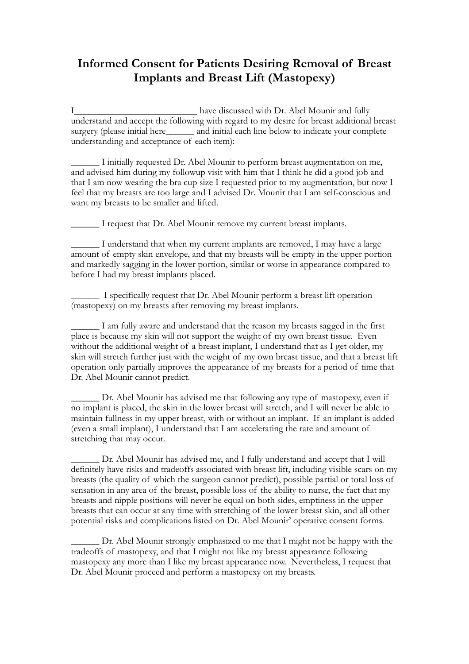## **Informed Consent for Patients Desiring Removal of Breast Implants and Breast Lift (Mastopexy)**

I\_\_\_\_\_\_\_\_\_\_\_\_\_\_\_\_\_\_\_\_\_\_\_\_\_\_\_\_\_\_ have discussed with Dr. Abel Mounir and fully understand and accept the following with regard to my desire for breast additional breast surgery (please initial here\_\_\_\_\_\_\_ and initial each line below to indicate your complete understanding and acceptance of each item):

\_\_\_\_\_\_ I initially requested Dr. Abel Mounir to perform breast augmentation on me, and advised him during my followup visit with him that I think he did a good job and that I am now wearing the bra cup size I requested prior to my augmentation, but now I feel that my breasts are too large and I advised Dr. Mounir that I am self-conscious and want my breasts to be smaller and lifted.

\_\_\_\_\_\_ I request that Dr. Abel Mounir remove my current breast implants.

\_\_\_\_\_\_ I understand that when my current implants are removed, I may have a large amount of empty skin envelope, and that my breasts will be empty in the upper portion and markedly sagging in the lower portion, similar or worse in appearance compared to before I had my breast implants placed.

\_\_\_\_\_\_ I specifically request that Dr. Abel Mounir perform a breast lift operation (mastopexy) on my breasts after removing my breast implants.

\_\_\_\_\_\_ I am fully aware and understand that the reason my breasts sagged in the first place is because my skin will not support the weight of my own breast tissue. Even without the additional weight of a breast implant, I understand that as I get older, my skin will stretch further just with the weight of my own breast tissue, and that a breast lift operation only partially improves the appearance of my breasts for a period of time that Dr. Abel Mounir cannot predict.

Dr. Abel Mounir has advised me that following any type of mastopexy, even if no implant is placed, the skin in the lower breast will stretch, and I will never be able to maintain fullness in my upper breast, with or without an implant. If an implant is added (even a small implant), I understand that I am accelerating the rate and amount of stretching that may occur.

\_\_\_\_\_\_ Dr. Abel Mounir has advised me, and I fully understand and accept that I will definitely have risks and tradeoffs associated with breast lift, including visible scars on my breasts (the quality of which the surgeon cannot predict), possible partial or total loss of sensation in any area of the breast, possible loss of the ability to nurse, the fact that my breasts and nipple positions will never be equal on both sides, emptiness in the upper breasts that can occur at any time with stretching of the lower breast skin, and all other potential risks and complications listed on Dr. Abel Mounir' operative consent forms.

Dr. Abel Mounir strongly emphasized to me that I might not be happy with the tradeoffs of mastopexy, and that I might not like my breast appearance following mastopexy any more than I like my breast appearance now. Nevertheless, I request that Dr. Abel Mounir proceed and perform a mastopexy on my breasts.